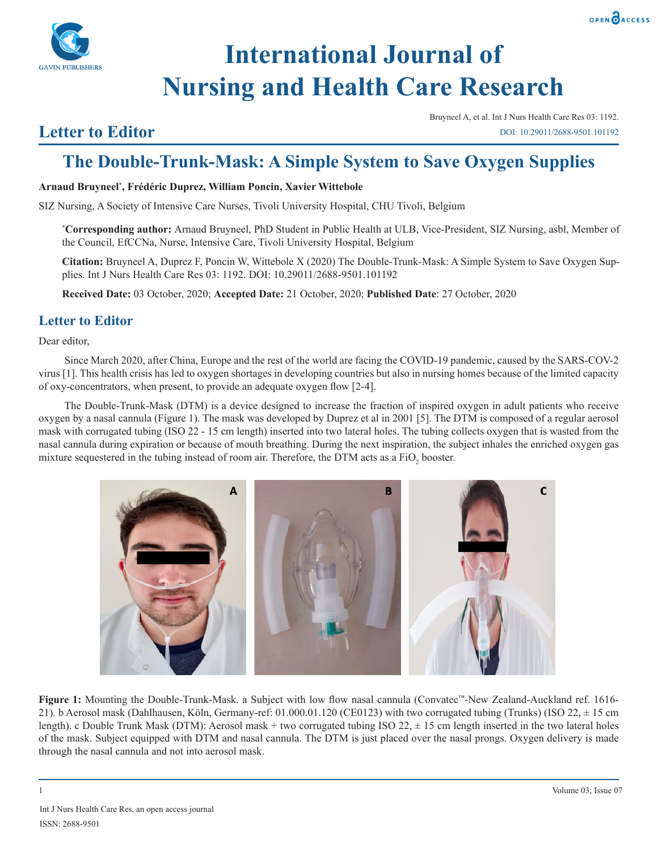

# **International Journal of Nursing and Health Care Research**

### **Letter to Editor**

Bruyneel A, et al. Int J Nurs Health Care Res 03: 1192. DOI: 10.29011/2688-9501.101192

## **The Double-Trunk-Mask: A Simple System to Save Oxygen Supplies**

#### **Arnaud Bruyneel\* , Frédéric Duprez, William Poncin, Xavier Wittebole**

SIZ Nursing, A Society of Intensive Care Nurses, Tivoli University Hospital, CHU Tivoli, Belgium

**\* Corresponding author:** Arnaud Bruyneel, PhD Student in Public Health at ULB, Vice-President, SIZ Nursing, asbl, Member of the Council, EfCCNa, Nurse, Intensive Care, Tivoli University Hospital, Belgium

**Citation:** Bruyneel A, Duprez F, Poncin W, Wittebole X (2020) The Double-Trunk-Mask: A Simple System to Save Oxygen Supplies. Int J Nurs Health Care Res 03: 1192. DOI: 10.29011/2688-9501.101192

**Received Date:** 03 October, 2020; **Accepted Date:** 21 October, 2020; **Published Date**: 27 October, 2020

#### **Letter to Editor**

Dear editor,

Since March 2020, after China, Europe and the rest of the world are facing the COVID-19 pandemic, caused by the SARS-COV-2 virus [1]. This health crisis has led to oxygen shortages in developing countries but also in nursing homes because of the limited capacity of oxy-concentrators, when present, to provide an adequate oxygen flow [2-4].

The Double-Trunk-Mask (DTM) is a device designed to increase the fraction of inspired oxygen in adult patients who receive oxygen by a nasal cannula (Figure 1). The mask was developed by Duprez et al in 2001 [5]. The DTM is composed of a regular aerosol mask with corrugated tubing (ISO 22 - 15 cm length) inserted into two lateral holes. The tubing collects oxygen that is wasted from the nasal cannula during expiration or because of mouth breathing. During the next inspiration, the subject inhales the enriched oxygen gas mixture sequestered in the tubing instead of room air. Therefore, the DTM acts as a  $FiO_2$  booster.



**Figure 1:** Mounting the Double-Trunk-Mask. a Subject with low flow nasal cannula (Convatec™-New Zealand-Auckland ref. 1616- 21). b Aerosol mask (Dahlhausen, Köln, Germany-ref: 01.000.01.120 (CE0123) with two corrugated tubing (Trunks) (ISO 22, ± 15 cm length). c Double Trunk Mask (DTM): Aerosol mask + two corrugated tubing ISO 22,  $\pm$  15 cm length inserted in the two lateral holes of the mask. Subject equipped with DTM and nasal cannula. The DTM is just placed over the nasal prongs. Oxygen delivery is made through the nasal cannula and not into aerosol mask.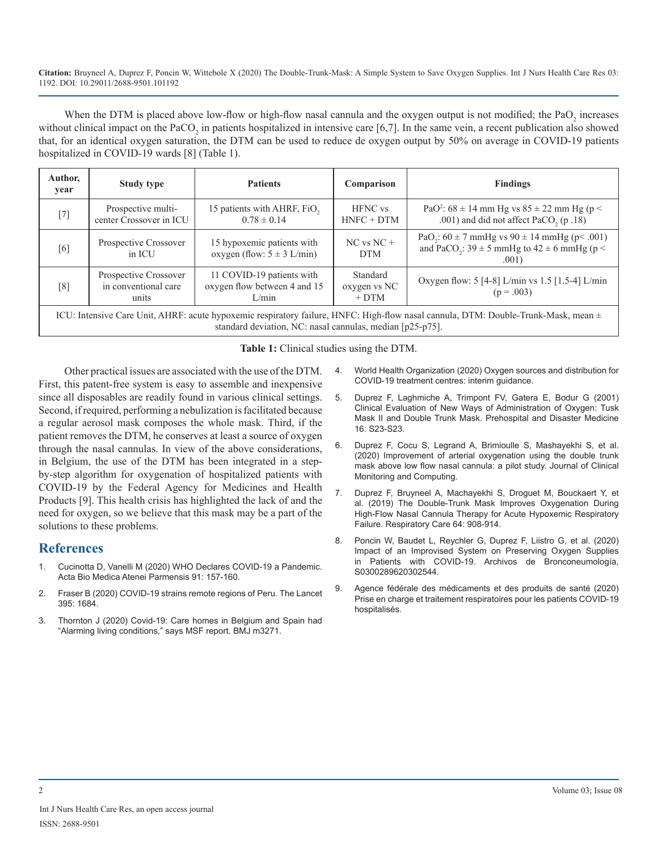**Citation:** Bruyneel A, Duprez F, Poncin W, Wittebole X (2020) The Double-Trunk-Mask: A Simple System to Save Oxygen Supplies. Int J Nurs Health Care Res 03: 1192. DOI: 10.29011/2688-9501.101192

When the DTM is placed above low-flow or high-flow nasal cannula and the oxygen output is not modified; the  $PaO_2$  increases without clinical impact on the  $PaCO<sub>2</sub>$  in patients hospitalized in intensive care [6,7]. In the same vein, a recent publication also showed that, for an identical oxygen saturation, the DTM can be used to reduce de oxygen output by 50% on average in COVID-19 patients hospitalized in COVID-19 wards [8] (Table 1).

| Author,<br>year | <b>Study type</b>                                      | <b>Patients</b>                                                    | Comparison                         | <b>Findings</b>                                                                                                                             |
|-----------------|--------------------------------------------------------|--------------------------------------------------------------------|------------------------------------|---------------------------------------------------------------------------------------------------------------------------------------------|
| $[7]$           | Prospective multi-<br>center Crossover in ICU          | 15 patients with AHRF, FiO,<br>$0.78 \pm 0.14$                     | <b>HFNC</b> vs<br>$HNEC + DTM$     | PaO <sup>2</sup> : $68 \pm 14$ mm Hg vs $85 \pm 22$ mm Hg (p <<br>.001) and did not affect PaCO <sub>2</sub> (p.18)                         |
| [6]             | Prospective Crossover<br>in ICU                        | 15 hypoxemic patients with<br>oxygen (flow: $5 \pm 3$ L/min)       | $NC$ vs $NC +$<br><b>DTM</b>       | PaO <sub>2</sub> : $60 \pm 7$ mmHg vs $90 \pm 14$ mmHg (p< .001)<br>and PaCO <sub>2</sub> : $39 \pm 5$ mmHg to $42 \pm 6$ mmHg (p <<br>.001 |
| [8]             | Prospective Crossover<br>in conventional care<br>units | 11 COVID-19 patients with<br>oxygen flow between 4 and 15<br>L/min | Standard<br>oxygen vs NC<br>$+DTM$ | Oxygen flow: 5 [4-8] L/min vs 1.5 [1.5-4] L/min<br>$(p = .003)$                                                                             |
|                 |                                                        |                                                                    |                                    | $ICU_1$ Intensive Caro Unit AUDE: equip hypoxemic requirement foilure UNEC: Uigh flow need connule DTM: Double Trunk Mosk mean $\pm$        |

ICU: Intensive Care Unit, AHRF: acute hypoxemic respiratory failure, HNFC: High-flow nasal cannula, DTM: Double-Trunk-Mask, mean ± standard deviation, NC: nasal cannulas, median [p25-p75].

**Table 1:** Clinical studies using the DTM.

Other practical issues are associated with the use of the DTM. First, this patent-free system is easy to assemble and inexpensive since all disposables are readily found in various clinical settings. Second, if required, performing a nebulization is facilitated because a regular aerosol mask composes the whole mask. Third, if the patient removes the DTM, he conserves at least a source of oxygen through the nasal cannulas. In view of the above considerations, in Belgium, the use of the DTM has been integrated in a stepby-step algorithm for oxygenation of hospitalized patients with COVID-19 by the Federal Agency for Medicines and Health Products [9]. This health crisis has highlighted the lack of and the need for oxygen, so we believe that this mask may be a part of the solutions to these problems.

#### **References**

- 1. Cucinotta D, Vanelli M (2020) WHO Declares COVID-19 a Pandemic. Acta Bio Medica Atenei Parmensis 91: 157-160.
- 2. Fraser B (2020) COVID-19 strains remote regions of Peru. The Lancet 395: 1684.
- 3. Thornton J (2020) Covid-19: Care homes in Belgium and Spain had "Alarming living conditions," says MSF report. BMJ m3271.
- 4. World Health Organization (2020) Oxygen sources and distribution for COVID-19 treatment centres: interim guidance.
- 5. Duprez F, Laghmiche A, Trimpont FV, Gatera E, Bodur G (2001) Clinical Evaluation of New Ways of Administration of Oxygen: Tusk Mask II and Double Trunk Mask. Prehospital and Disaster Medicine 16: S23-S23.
- 6. Duprez F, Cocu S, Legrand A, Brimioulle S, Mashayekhi S, et al. (2020) Improvement of arterial oxygenation using the double trunk mask above low flow nasal cannula: a pilot study. Journal of Clinical Monitoring and Computing.
- 7. Duprez F, Bruyneel A, Machayekhi S, Droguet M, Bouckaert Y, et al. (2019) The Double-Trunk Mask Improves Oxygenation During High-Flow Nasal Cannula Therapy for Acute Hypoxemic Respiratory Failure. Respiratory Care 64: 908-914.
- 8. Poncin W, Baudet L, Reychler G, Duprez F, Liistro G, et al. (2020) Impact of an Improvised System on Preserving Oxygen Supplies in Patients with COVID-19. Archivos de Bronconeumología, S0300289620302544.
- 9. Agence fédérale des médicaments et des produits de santé (2020) Prise en charge et traitement respiratoires pour les patients COVID-19 hospitalisés.